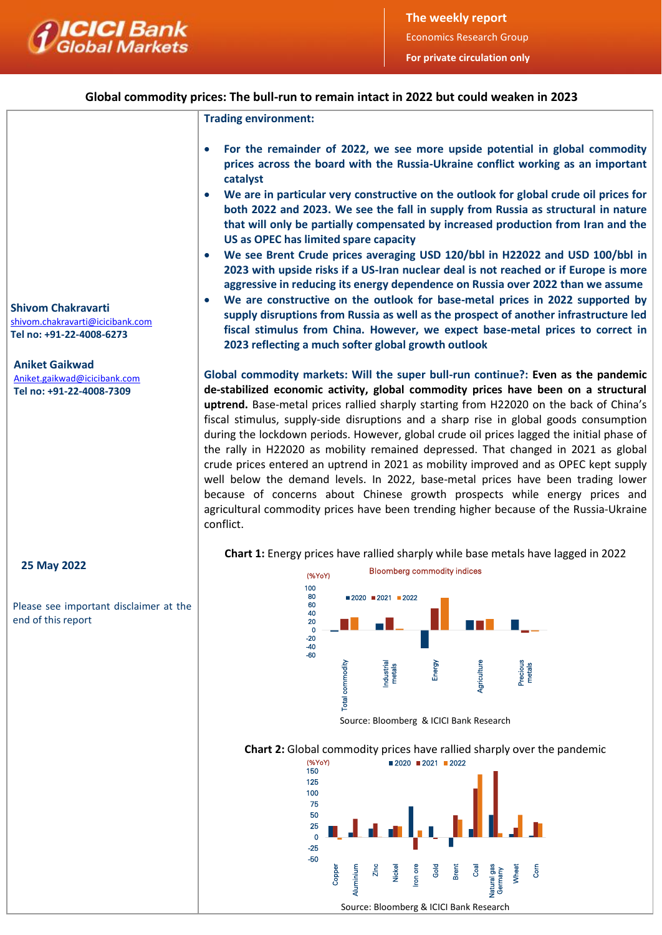

# **Global commodity prices: The bull-run to remain intact in 2022 but could weaken in 2023**

**Trading environment:**

- **For the remainder of 2022, we see more upside potential in global commodity prices across the board with the Russia-Ukraine conflict working as an important catalyst**
- **We are in particular very constructive on the outlook for global crude oil prices for both 2022 and 2023. We see the fall in supply from Russia as structural in nature that will only be partially compensated by increased production from Iran and the US as OPEC has limited spare capacity**
- **We see Brent Crude prices averaging USD 120/bbl in H22022 and USD 100/bbl in 2023 with upside risks if a US-Iran nuclear deal is not reached or if Europe is more aggressive in reducing its energy dependence on Russia over 2022 than we assume**
- **We are constructive on the outlook for base-metal prices in 2022 supported by supply disruptions from Russia as well as the prospect of another infrastructure led fiscal stimulus from China. However, we expect base-metal prices to correct in 2023 reflecting a much softer global growth outlook**

**Global commodity markets: Will the super bull-run continue?: Even as the pandemic de-stabilized economic activity, global commodity prices have been on a structural uptrend.** Base-metal prices rallied sharply starting from H22020 on the back of China's fiscal stimulus, supply-side disruptions and a sharp rise in global goods consumption during the lockdown periods. However, global crude oil prices lagged the initial phase of the rally in H22020 as mobility remained depressed. That changed in 2021 as global crude prices entered an uptrend in 2021 as mobility improved and as OPEC kept supply well below the demand levels. In 2022, base-metal prices have been trading lower because of concerns about Chinese growth prospects while energy prices and agricultural commodity prices have been trending higher because of the Russia-Ukraine conflict.

**Chart 1:** Energy prices have rallied sharply while base metals have lagged in 2022



Source: Bloomberg & ICICI Bank Research

### **Chart 2:** Global commodity prices have rallied sharply over the pandemic



**Shivom Chakravarti** [shivom.chakravarti@icicibank.com](mailto:shivom.chakravarti@icicibank.com) **Tel no: +91-22-4008-6273** 

**Aniket Gaikwad** Aniket.gaikwad@icicibank.com

I

**Tel no: +91-22-4008-7309**

# **25 May 2022**

Please see important disclaimer at the end of this report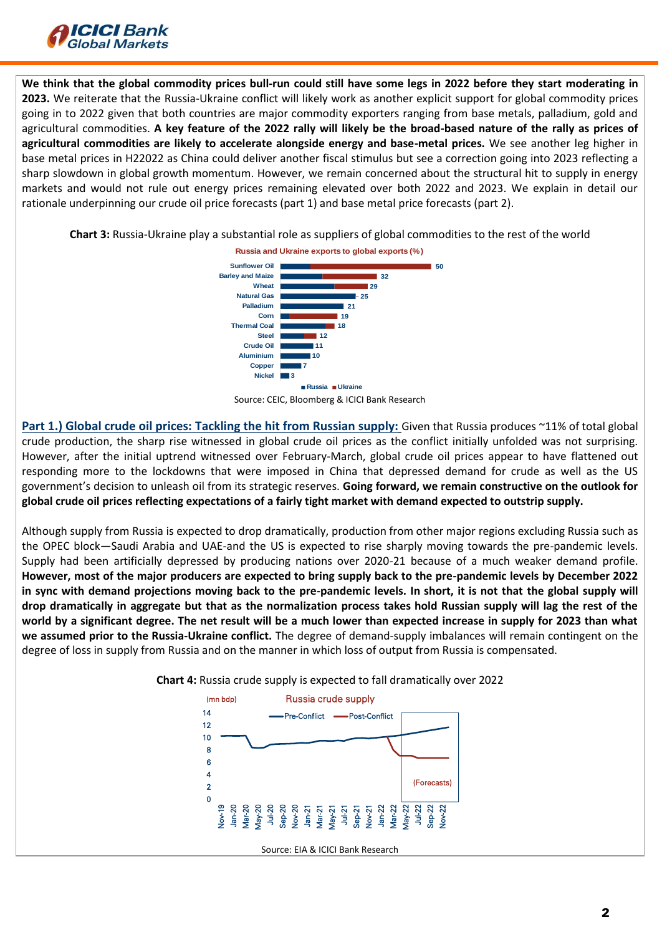

**We think that the global commodity prices bull-run could still have some legs in 2022 before they start moderating in 2023.** We reiterate that the Russia-Ukraine conflict will likely work as another explicit support for global commodity prices going in to 2022 given that both countries are major commodity exporters ranging from base metals, palladium, gold and agricultural commodities. **A key feature of the 2022 rally will likely be the broad-based nature of the rally as prices of agricultural commodities are likely to accelerate alongside energy and base-metal prices.** We see another leg higher in base metal prices in H22022 as China could deliver another fiscal stimulus but see a correction going into 2023 reflecting a sharp slowdown in global growth momentum. However, we remain concerned about the structural hit to supply in energy markets and would not rule out energy prices remaining elevated over both 2022 and 2023. We explain in detail our rationale underpinning our crude oil price forecasts (part 1) and base metal price forecasts (part 2).

**Chart 3:** Russia-Ukraine play a substantial role as suppliers of global commodities to the rest of the world







**Part 1.) Global crude oil prices: Tackling the hit from Russian supply:** Given that Russia produces ~11% of total global crude production, the sharp rise witnessed in global crude oil prices as the conflict initially unfolded was not surprising. However, after the initial uptrend witnessed over February-March, global crude oil prices appear to have flattened out responding more to the lockdowns that were imposed in China that depressed demand for crude as well as the US government's decision to unleash oil from its strategic reserves. **Going forward, we remain constructive on the outlook for global crude oil prices reflecting expectations of a fairly tight market with demand expected to outstrip supply.** 

Although supply from Russia is expected to drop dramatically, production from other major regions excluding Russia such as the OPEC block—Saudi Arabia and UAE-and the US is expected to rise sharply moving towards the pre-pandemic levels. Supply had been artificially depressed by producing nations over 2020-21 because of a much weaker demand profile. **However, most of the major producers are expected to bring supply back to the pre-pandemic levels by December 2022 in sync with demand projections moving back to the pre-pandemic levels. In short, it is not that the global supply will drop dramatically in aggregate but that as the normalization process takes hold Russian supply will lag the rest of the world by a significant degree. The net result will be a much lower than expected increase in supply for 2023 than what we assumed prior to the Russia-Ukraine conflict.** The degree of demand-supply imbalances will remain contingent on the degree of loss in supply from Russia and on the manner in which loss of output from Russia is compensated.



**Chart 4:** Russia crude supply is expected to fall dramatically over 2022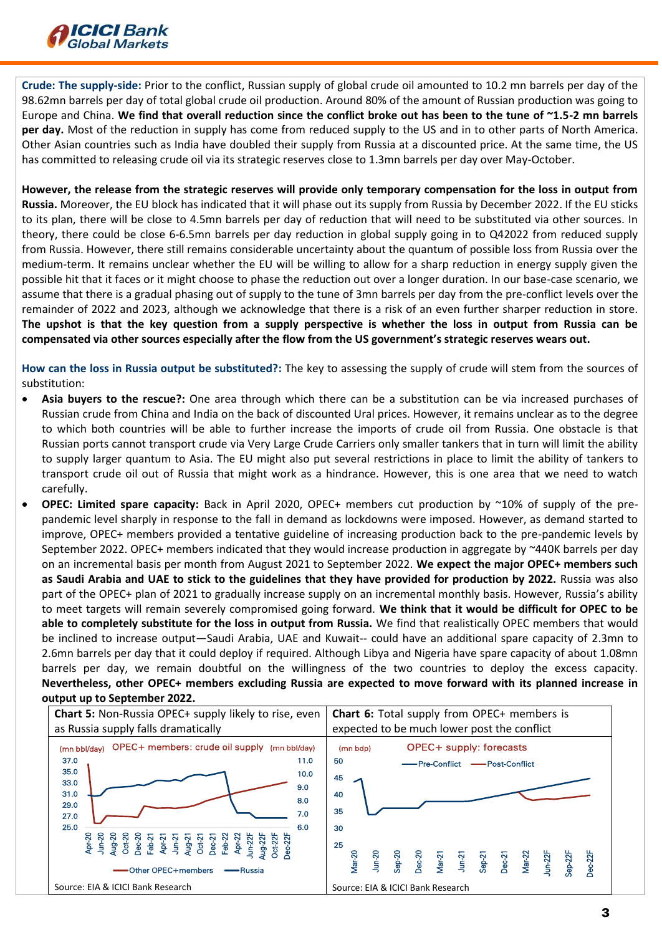

**Crude: The supply-side:** Prior to the conflict, Russian supply of global crude oil amounted to 10.2 mn barrels per day of the 98.62mn barrels per day of total global crude oil production. Around 80% of the amount of Russian production was going to Europe and China. **We find that overall reduction since the conflict broke out has been to the tune of ~1.5-2 mn barrels per day.** Most of the reduction in supply has come from reduced supply to the US and in to other parts of North America. Other Asian countries such as India have doubled their supply from Russia at a discounted price. At the same time, the US has committed to releasing crude oil via its strategic reserves close to 1.3mn barrels per day over May-October.

**However, the release from the strategic reserves will provide only temporary compensation for the loss in output from Russia.** Moreover, the EU block has indicated that it will phase out its supply from Russia by December 2022. If the EU sticks to its plan, there will be close to 4.5mn barrels per day of reduction that will need to be substituted via other sources. In theory, there could be close 6-6.5mn barrels per day reduction in global supply going in to Q42022 from reduced supply from Russia. However, there still remains considerable uncertainty about the quantum of possible loss from Russia over the medium-term. It remains unclear whether the EU will be willing to allow for a sharp reduction in energy supply given the possible hit that it faces or it might choose to phase the reduction out over a longer duration. In our base-case scenario, we assume that there is a gradual phasing out of supply to the tune of 3mn barrels per day from the pre-conflict levels over the remainder of 2022 and 2023, although we acknowledge that there is a risk of an even further sharper reduction in store. **The upshot is that the key question from a supply perspective is whether the loss in output from Russia can be compensated via other sources especially after the flow from the US government's strategic reserves wears out.**

**How can the loss in Russia output be substituted?:** The key to assessing the supply of crude will stem from the sources of substitution:

- **Asia buyers to the rescue?:** One area through which there can be a substitution can be via increased purchases of Russian crude from China and India on the back of discounted Ural prices. However, it remains unclear as to the degree to which both countries will be able to further increase the imports of crude oil from Russia. One obstacle is that Russian ports cannot transport crude via Very Large Crude Carriers only smaller tankers that in turn will limit the ability to supply larger quantum to Asia. The EU might also put several restrictions in place to limit the ability of tankers to transport crude oil out of Russia that might work as a hindrance. However, this is one area that we need to watch carefully.
- **OPEC: Limited spare capacity:** Back in April 2020, OPEC+ members cut production by ~10% of supply of the prepandemic level sharply in response to the fall in demand as lockdowns were imposed. However, as demand started to improve, OPEC+ members provided a tentative guideline of increasing production back to the pre-pandemic levels by September 2022. OPEC+ members indicated that they would increase production in aggregate by ~440K barrels per day on an incremental basis per month from August 2021 to September 2022. **We expect the major OPEC+ members such as Saudi Arabia and UAE to stick to the guidelines that they have provided for production by 2022.** Russia was also part of the OPEC+ plan of 2021 to gradually increase supply on an incremental monthly basis. However, Russia's ability to meet targets will remain severely compromised going forward. **We think that it would be difficult for OPEC to be able to completely substitute for the loss in output from Russia.** We find that realistically OPEC members that would be inclined to increase output—Saudi Arabia, UAE and Kuwait-- could have an additional spare capacity of 2.3mn to 2.6mn barrels per day that it could deploy if required. Although Libya and Nigeria have spare capacity of about 1.08mn barrels per day, we remain doubtful on the willingness of the two countries to deploy the excess capacity. **Nevertheless, other OPEC+ members excluding Russia are expected to move forward with its planned increase in output up to September 2022.**

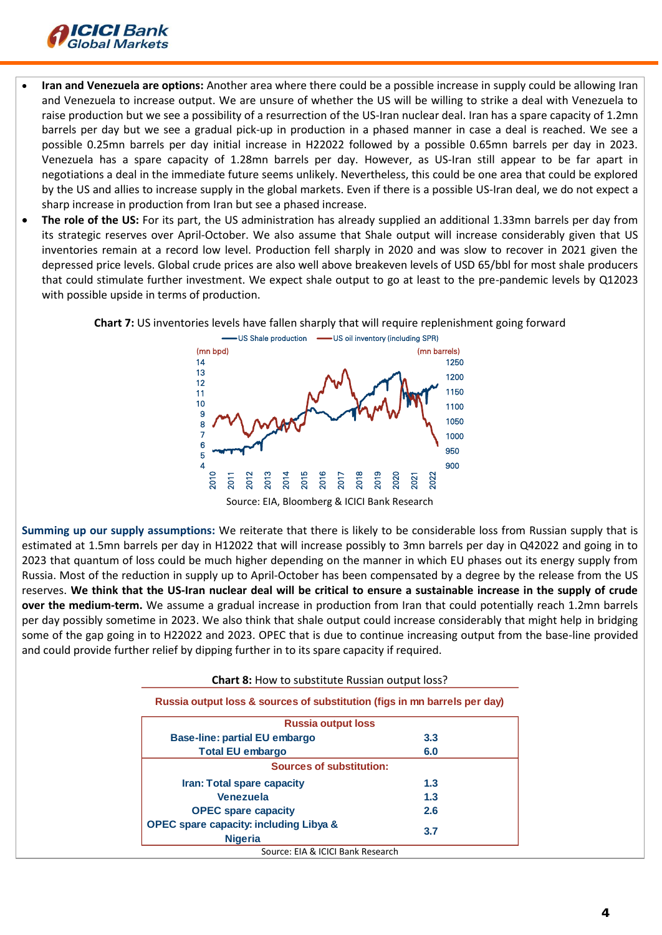

- **Iran and Venezuela are options:** Another area where there could be a possible increase in supply could be allowing Iran and Venezuela to increase output. We are unsure of whether the US will be willing to strike a deal with Venezuela to raise production but we see a possibility of a resurrection of the US-Iran nuclear deal. Iran has a spare capacity of 1.2mn barrels per day but we see a gradual pick-up in production in a phased manner in case a deal is reached. We see a possible 0.25mn barrels per day initial increase in H22022 followed by a possible 0.65mn barrels per day in 2023. Venezuela has a spare capacity of 1.28mn barrels per day. However, as US-Iran still appear to be far apart in negotiations a deal in the immediate future seems unlikely. Nevertheless, this could be one area that could be explored by the US and allies to increase supply in the global markets. Even if there is a possible US-Iran deal, we do not expect a sharp increase in production from Iran but see a phased increase.
- **The role of the US:** For its part, the US administration has already supplied an additional 1.33mn barrels per day from its strategic reserves over April-October. We also assume that Shale output will increase considerably given that US inventories remain at a record low level. Production fell sharply in 2020 and was slow to recover in 2021 given the depressed price levels. Global crude prices are also well above breakeven levels of USD 65/bbl for most shale producers that could stimulate further investment. We expect shale output to go at least to the pre-pandemic levels by Q12023 with possible upside in terms of production.





Source: EIA, Bloomberg & ICICI Bank Research

**Summing up our supply assumptions:** We reiterate that there is likely to be considerable loss from Russian supply that is estimated at 1.5mn barrels per day in H12022 that will increase possibly to 3mn barrels per day in Q42022 and going in to 2023 that quantum of loss could be much higher depending on the manner in which EU phases out its energy supply from Russia. Most of the reduction in supply up to April-October has been compensated by a degree by the release from the US reserves. **We think that the US-Iran nuclear deal will be critical to ensure a sustainable increase in the supply of crude over the medium-term.** We assume a gradual increase in production from Iran that could potentially reach 1.2mn barrels per day possibly sometime in 2023. We also think that shale output could increase considerably that might help in bridging some of the gap going in to H22022 and 2023. OPEC that is due to continue increasing output from the base-line provided and could provide further relief by dipping further in to its spare capacity if required.

| <b>Russia output loss</b>                                           |     |
|---------------------------------------------------------------------|-----|
| <b>Base-line: partial EU embargo</b>                                | 3.3 |
| <b>Total EU embargo</b>                                             | 6.0 |
| <b>Sources of substitution:</b>                                     |     |
| Iran: Total spare capacity                                          | 1.3 |
| <b>Venezuela</b>                                                    | 1.3 |
| <b>OPEC spare capacity</b>                                          | 2.6 |
| <b>OPEC spare capacity: including Libya &amp;</b><br><b>Nigeria</b> | 3.7 |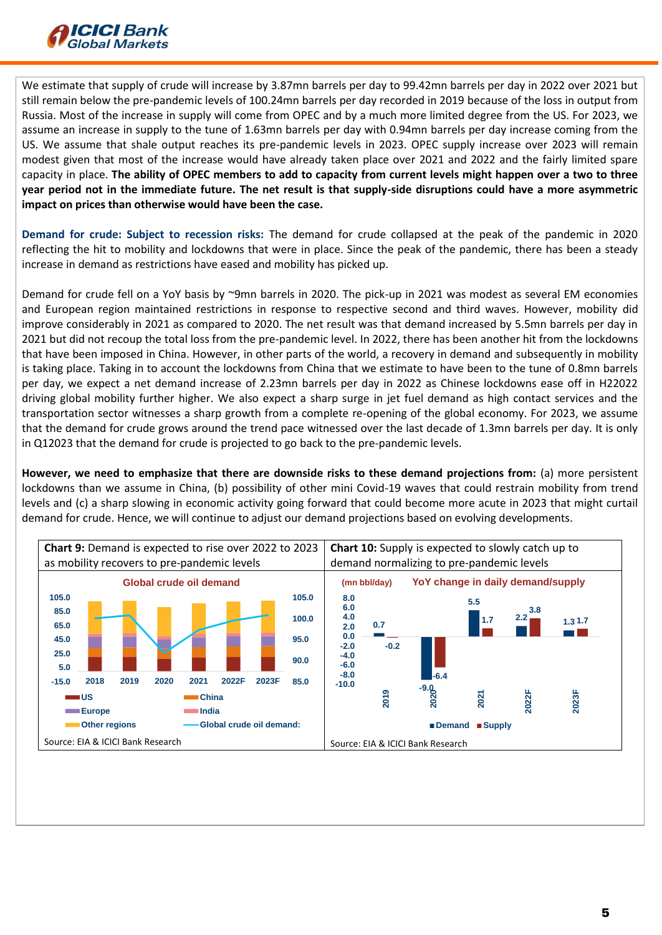

We estimate that supply of crude will increase by 3.87mn barrels per day to 99.42mn barrels per day in 2022 over 2021 but still remain below the pre-pandemic levels of 100.24mn barrels per day recorded in 2019 because of the loss in output from Russia. Most of the increase in supply will come from OPEC and by a much more limited degree from the US. For 2023, we assume an increase in supply to the tune of 1.63mn barrels per day with 0.94mn barrels per day increase coming from the US. We assume that shale output reaches its pre-pandemic levels in 2023. OPEC supply increase over 2023 will remain modest given that most of the increase would have already taken place over 2021 and 2022 and the fairly limited spare capacity in place. **The ability of OPEC members to add to capacity from current levels might happen over a two to three year period not in the immediate future. The net result is that supply-side disruptions could have a more asymmetric impact on prices than otherwise would have been the case.**

**Demand for crude: Subject to recession risks:** The demand for crude collapsed at the peak of the pandemic in 2020 reflecting the hit to mobility and lockdowns that were in place. Since the peak of the pandemic, there has been a steady increase in demand as restrictions have eased and mobility has picked up.

Demand for crude fell on a YoY basis by ~9mn barrels in 2020. The pick-up in 2021 was modest as several EM economies and European region maintained restrictions in response to respective second and third waves. However, mobility did improve considerably in 2021 as compared to 2020. The net result was that demand increased by 5.5mn barrels per day in 2021 but did not recoup the total loss from the pre-pandemic level. In 2022, there has been another hit from the lockdowns that have been imposed in China. However, in other parts of the world, a recovery in demand and subsequently in mobility is taking place. Taking in to account the lockdowns from China that we estimate to have been to the tune of 0.8mn barrels per day, we expect a net demand increase of 2.23mn barrels per day in 2022 as Chinese lockdowns ease off in H22022 driving global mobility further higher. We also expect a sharp surge in jet fuel demand as high contact services and the transportation sector witnesses a sharp growth from a complete re-opening of the global economy. For 2023, we assume that the demand for crude grows around the trend pace witnessed over the last decade of 1.3mn barrels per day. It is only in Q12023 that the demand for crude is projected to go back to the pre-pandemic levels.

**However, we need to emphasize that there are downside risks to these demand projections from:** (a) more persistent lockdowns than we assume in China, (b) possibility of other mini Covid-19 waves that could restrain mobility from trend levels and (c) a sharp slowing in economic activity going forward that could become more acute in 2023 that might curtail demand for crude. Hence, we will continue to adjust our demand projections based on evolving developments.

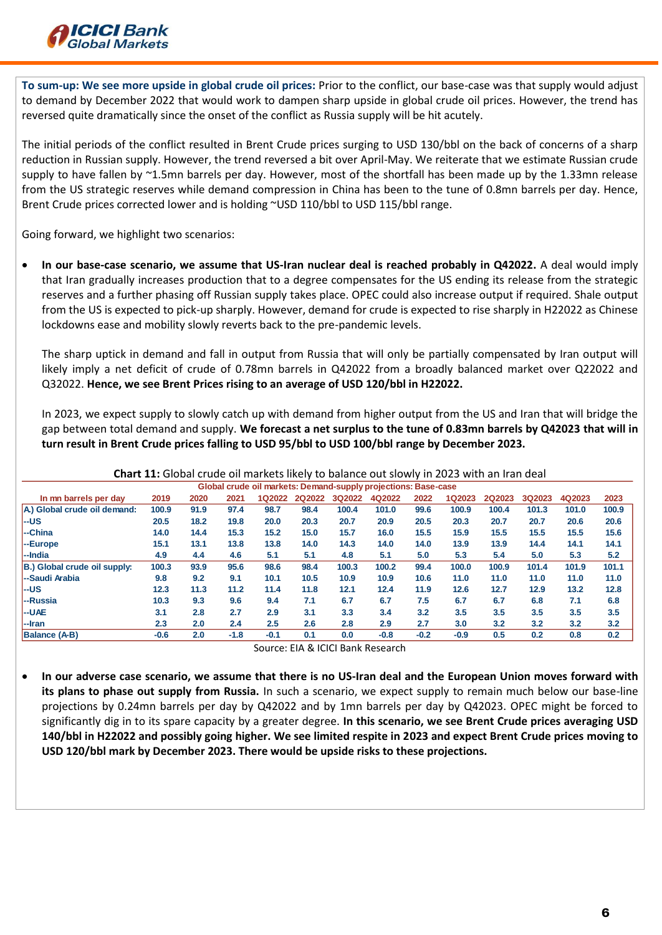

**To sum-up: We see more upside in global crude oil prices:** Prior to the conflict, our base-case was that supply would adjust to demand by December 2022 that would work to dampen sharp upside in global crude oil prices. However, the trend has reversed quite dramatically since the onset of the conflict as Russia supply will be hit acutely.

The initial periods of the conflict resulted in Brent Crude prices surging to USD 130/bbl on the back of concerns of a sharp reduction in Russian supply. However, the trend reversed a bit over April-May. We reiterate that we estimate Russian crude supply to have fallen by ~1.5mn barrels per day. However, most of the shortfall has been made up by the 1.33mn release from the US strategic reserves while demand compression in China has been to the tune of 0.8mn barrels per day. Hence, Brent Crude prices corrected lower and is holding ~USD 110/bbl to USD 115/bbl range.

Going forward, we highlight two scenarios:

 **In our base-case scenario, we assume that US-Iran nuclear deal is reached probably in Q42022.** A deal would imply that Iran gradually increases production that to a degree compensates for the US ending its release from the strategic reserves and a further phasing off Russian supply takes place. OPEC could also increase output if required. Shale output from the US is expected to pick-up sharply. However, demand for crude is expected to rise sharply in H22022 as Chinese lockdowns ease and mobility slowly reverts back to the pre-pandemic levels.

The sharp uptick in demand and fall in output from Russia that will only be partially compensated by Iran output will likely imply a net deficit of crude of 0.78mn barrels in Q42022 from a broadly balanced market over Q22022 and Q32022. **Hence, we see Brent Prices rising to an average of USD 120/bbl in H22022.**

In 2023, we expect supply to slowly catch up with demand from higher output from the US and Iran that will bridge the gap between total demand and supply. **We forecast a net surplus to the tune of 0.83mn barrels by Q42023 that will in turn result in Brent Crude prices falling to USD 95/bbl to USD 100/bbl range by December 2023.**

| Global crude oil markets: Demand-supply projections: Base-case |        |      |        |        |        |        |        |        |               |               |               |        |       |
|----------------------------------------------------------------|--------|------|--------|--------|--------|--------|--------|--------|---------------|---------------|---------------|--------|-------|
| In mn barrels per day                                          | 2019   | 2020 | 2021   | 1Q2022 | 2Q2022 | 3Q2022 | 4Q2022 | 2022   | <b>1Q2023</b> | <b>2Q2023</b> | <b>3Q2023</b> | 4Q2023 | 2023  |
| A.) Global crude oil demand:                                   | 100.9  | 91.9 | 97.4   | 98.7   | 98.4   | 100.4  | 101.0  | 99.6   | 100.9         | 100.4         | 101.3         | 101.0  | 100.9 |
| --US                                                           | 20.5   | 18.2 | 19.8   | 20.0   | 20.3   | 20.7   | 20.9   | 20.5   | 20.3          | 20.7          | 20.7          | 20.6   | 20.6  |
| --China                                                        | 14.0   | 14.4 | 15.3   | 15.2   | 15.0   | 15.7   | 16.0   | 15.5   | 15.9          | 15.5          | 15.5          | 15.5   | 15.6  |
| --Europe                                                       | 15.1   | 13.1 | 13.8   | 13.8   | 14.0   | 14.3   | 14.0   | 14.0   | 13.9          | 13.9          | 14.4          | 14.1   | 14.1  |
| l--India                                                       | 4.9    | 4.4  | 4.6    | 5.1    | 5.1    | 4.8    | 5.1    | 5.0    | 5.3           | 5.4           | 5.0           | 5.3    | 5.2   |
| B.) Global crude oil supply:                                   | 100.3  | 93.9 | 95.6   | 98.6   | 98.4   | 100.3  | 100.2  | 99.4   | 100.0         | 100.9         | 101.4         | 101.9  | 101.1 |
| --Saudi Arabia                                                 | 9.8    | 9.2  | 9.1    | 10.1   | 10.5   | 10.9   | 10.9   | 10.6   | 11.0          | 11.0          | 11.0          | 11.0   | 11.0  |
| --US                                                           | 12.3   | 11.3 | 11.2   | 11.4   | 11.8   | 12.1   | 12.4   | 11.9   | 12.6          | 12.7          | 12.9          | 13.2   | 12.8  |
| --Russia                                                       | 10.3   | 9.3  | 9.6    | 9.4    | 7.1    | 6.7    | 6.7    | 7.5    | 6.7           | 6.7           | 6.8           | 7.1    | 6.8   |
| --UAE                                                          | 3.1    | 2.8  | 2.7    | 2.9    | 3.1    | 3.3    | 3.4    | 3.2    | 3.5           | 3.5           | 3.5           | 3.5    | 3.5   |
| $ -$ Iran                                                      | 2.3    | 2.0  | 2.4    | 2.5    | 2.6    | 2.8    | 2.9    | 2.7    | 3.0           | 3.2           | 3.2           | 3.2    | 3.2   |
| <b>Balance (A-B)</b>                                           | $-0.6$ | 2.0  | $-1.8$ | $-0.1$ | 0.1    | 0.0    | $-0.8$ | $-0.2$ | $-0.9$        | 0.5           | 0.2           | 0.8    | 0.2   |

**Chart 11:** Global crude oil markets likely to balance out slowly in 2023 with an Iran deal

Source: EIA & ICICI Bank Research

 **In our adverse case scenario, we assume that there is no US-Iran deal and the European Union moves forward with its plans to phase out supply from Russia.** In such a scenario, we expect supply to remain much below our base-line projections by 0.24mn barrels per day by Q42022 and by 1mn barrels per day by Q42023. OPEC might be forced to significantly dig in to its spare capacity by a greater degree. **In this scenario, we see Brent Crude prices averaging USD 140/bbl in H22022 and possibly going higher. We see limited respite in 2023 and expect Brent Crude prices moving to USD 120/bbl mark by December 2023. There would be upside risks to these projections.**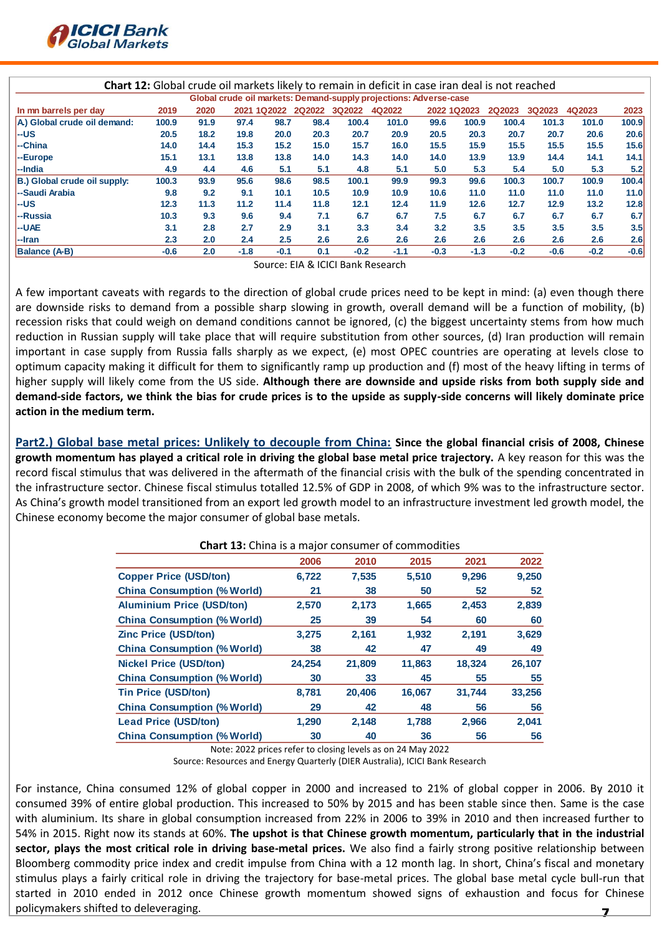

|                              |        |      |        |             |        |               | <b>Chart 12:</b> Global crude oil markets likely to remain in deficit in case iran deal is not reached |        |             |               |               |        |        |
|------------------------------|--------|------|--------|-------------|--------|---------------|--------------------------------------------------------------------------------------------------------|--------|-------------|---------------|---------------|--------|--------|
|                              |        |      |        |             |        |               | Global crude oil markets: Demand-supply projections: Adverse-case                                      |        |             |               |               |        |        |
| In mn barrels per day        | 2019   | 2020 |        | 2021 1Q2022 | 2Q2022 | <b>3Q2022</b> | 4Q2022                                                                                                 |        | 2022 1Q2023 | <b>2Q2023</b> | <b>3Q2023</b> | 4Q2023 | 2023   |
| A) Global crude oil demand:  | 100.9  | 91.9 | 97.4   | 98.7        | 98.4   | 100.4         | 101.0                                                                                                  | 99.6   | 100.9       | 100.4         | 101.3         | 101.0  | 100.9  |
| l--us                        | 20.5   | 18.2 | 19.8   | 20.0        | 20.3   | 20.7          | 20.9                                                                                                   | 20.5   | 20.3        | 20.7          | 20.7          | 20.6   | 20.6   |
| --China                      | 14.0   | 14.4 | 15.3   | 15.2        | 15.0   | 15.7          | 16.0                                                                                                   | 15.5   | 15.9        | 15.5          | 15.5          | 15.5   | 15.6   |
| -Europe                      | 15.1   | 13.1 | 13.8   | 13.8        | 14.0   | 14.3          | 14.0                                                                                                   | 14.0   | 13.9        | 13.9          | 14.4          | 14.1   | 14.1   |
| l--India                     | 4.9    | 4.4  | 4.6    | 5.1         | 5.1    | 4.8           | 5.1                                                                                                    | 5.0    | 5.3         | 5.4           | 5.0           | 5.3    | 5.2    |
| B.) Global crude oil supply: | 100.3  | 93.9 | 95.6   | 98.6        | 98.5   | 100.1         | 99.9                                                                                                   | 99.3   | 99.6        | 100.3         | 100.7         | 100.9  | 100.4  |
| I--Saudi Arabia              | 9.8    | 9.2  | 9.1    | 10.1        | 10.5   | 10.9          | 10.9                                                                                                   | 10.6   | 11.0        | 11.0          | 11.0          | 11.0   | 11.0   |
| l--us                        | 12.3   | 11.3 | 11.2   | 11.4        | 11.8   | 12.1          | 12.4                                                                                                   | 11.9   | 12.6        | 12.7          | 12.9          | 13.2   | 12.8   |
| l--Russia                    | 10.3   | 9.3  | 9.6    | 9.4         | 7.1    | 6.7           | 6.7                                                                                                    | 7.5    | 6.7         | 6.7           | 6.7           | 6.7    | 6.7    |
| l--UAE                       | 3.1    | 2.8  | 2.7    | 2.9         | 3.1    | 3.3           | 3.4                                                                                                    | 3.2    | 3.5         | 3.5           | 3.5           | 3.5    | 3.5    |
| --Iran                       | 2.3    | 2.0  | 2.4    | 2.5         | 2.6    | 2.6           | 2.6                                                                                                    | 2.6    | 2.6         | 2.6           | 2.6           | 2.6    | 2.6    |
| <b>Balance (A-B)</b>         | $-0.6$ | 2.0  | $-1.8$ | $-0.1$      | 0.1    | $-0.2$        | $-1.1$                                                                                                 | $-0.3$ | $-1.3$      | $-0.2$        | $-0.6$        | $-0.2$ | $-0.6$ |

Source: EIA & ICICI Bank Research

A few important caveats with regards to the direction of global crude prices need to be kept in mind: (a) even though there are downside risks to demand from a possible sharp slowing in growth, overall demand will be a function of mobility, (b) recession risks that could weigh on demand conditions cannot be ignored, (c) the biggest uncertainty stems from how much reduction in Russian supply will take place that will require substitution from other sources, (d) Iran production will remain important in case supply from Russia falls sharply as we expect, (e) most OPEC countries are operating at levels close to optimum capacity making it difficult for them to significantly ramp up production and (f) most of the heavy lifting in terms of higher supply will likely come from the US side. **Although there are downside and upside risks from both supply side and demand-side factors, we think the bias for crude prices is to the upside as supply-side concerns will likely dominate price action in the medium term.**

**Part2.) Global base metal prices: Unlikely to decouple from China: Since the global financial crisis of 2008, Chinese growth momentum has played a critical role in driving the global base metal price trajectory.** A key reason for this was the record fiscal stimulus that was delivered in the aftermath of the financial crisis with the bulk of the spending concentrated in the infrastructure sector. Chinese fiscal stimulus totalled 12.5% of GDP in 2008, of which 9% was to the infrastructure sector. As China's growth model transitioned from an export led growth model to an infrastructure investment led growth model, the Chinese economy become the major consumer of global base metals.

| <b>Chart 13:</b> China is a major consumer of commodities |        |        |        |        |        |  |  |
|-----------------------------------------------------------|--------|--------|--------|--------|--------|--|--|
|                                                           | 2006   | 2010   | 2015   | 2021   | 2022   |  |  |
| <b>Copper Price (USD/ton)</b>                             | 6,722  | 7,535  | 5,510  | 9,296  | 9,250  |  |  |
| <b>China Consumption (% World)</b>                        | 21     | 38     | 50     | 52     | 52     |  |  |
| <b>Aluminium Price (USD/ton)</b>                          | 2,570  | 2,173  | 1,665  | 2,453  | 2,839  |  |  |
| <b>China Consumption (% World)</b>                        | 25     | 39     | 54     | 60     | 60     |  |  |
| <b>Zinc Price (USD/ton)</b>                               | 3,275  | 2,161  | 1,932  | 2,191  | 3,629  |  |  |
| <b>China Consumption (% World)</b>                        | 38     | 42     | 47     | 49     | 49     |  |  |
| <b>Nickel Price (USD/ton)</b>                             | 24,254 | 21,809 | 11,863 | 18,324 | 26,107 |  |  |
| <b>China Consumption (% World)</b>                        | 30     | 33     | 45     | 55     | 55     |  |  |
| <b>Tin Price (USD/ton)</b>                                | 8,781  | 20,406 | 16,067 | 31,744 | 33,256 |  |  |
| <b>China Consumption (% World)</b>                        | 29     | 42     | 48     | 56     | 56     |  |  |
| <b>Lead Price (USD/ton)</b>                               | 1,290  | 2,148  | 1,788  | 2,966  | 2,041  |  |  |
| <b>China Consumption (% World)</b>                        | 30     | 40     | 36     | 56     | 56     |  |  |

Note: 2022 prices refer to closing levels as on 24 May 2022

Source: Resources and Energy Quarterly (DIER Australia), ICICI Bank Research

7 For instance, China consumed 12% of global copper in 2000 and increased to 21% of global copper in 2006. By 2010 it consumed 39% of entire global production. This increased to 50% by 2015 and has been stable since then. Same is the case with aluminium. Its share in global consumption increased from 22% in 2006 to 39% in 2010 and then increased further to 54% in 2015. Right now its stands at 60%. **The upshot is that Chinese growth momentum, particularly that in the industrial sector, plays the most critical role in driving base-metal prices.** We also find a fairly strong positive relationship between Bloomberg commodity price index and credit impulse from China with a 12 month lag. In short, China's fiscal and monetary stimulus plays a fairly critical role in driving the trajectory for base-metal prices. The global base metal cycle bull-run that started in 2010 ended in 2012 once Chinese growth momentum showed signs of exhaustion and focus for Chinese policymakers shifted to deleveraging.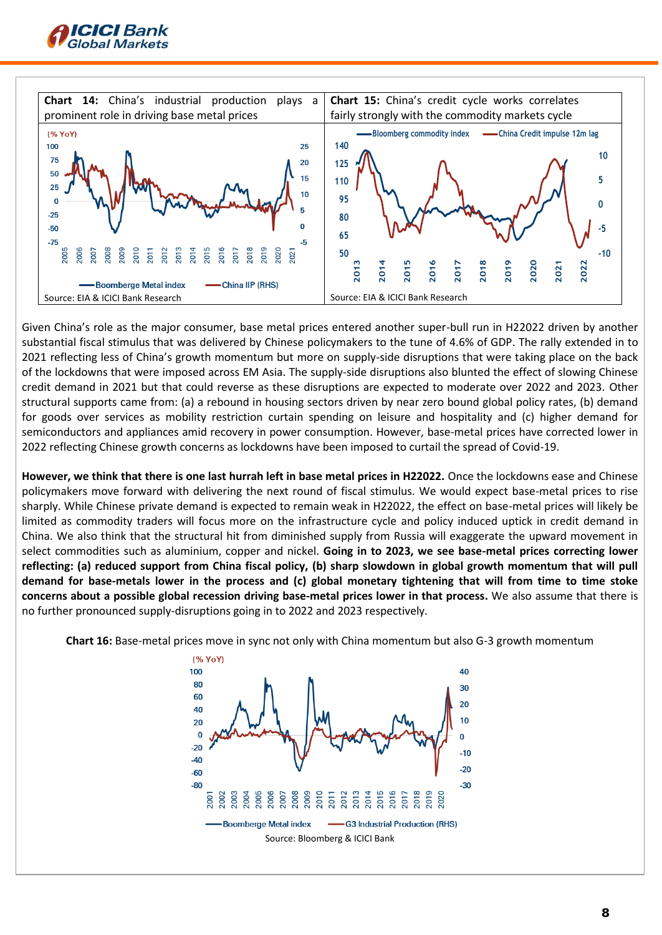



Given China's role as the major consumer, base metal prices entered another super-bull run in H22022 driven by another substantial fiscal stimulus that was delivered by Chinese policymakers to the tune of 4.6% of GDP. The rally extended in to 2021 reflecting less of China's growth momentum but more on supply-side disruptions that were taking place on the back of the lockdowns that were imposed across EM Asia. The supply-side disruptions also blunted the effect of slowing Chinese credit demand in 2021 but that could reverse as these disruptions are expected to moderate over 2022 and 2023. Other structural supports came from: (a) a rebound in housing sectors driven by near zero bound global policy rates, (b) demand for goods over services as mobility restriction curtain spending on leisure and hospitality and (c) higher demand for semiconductors and appliances amid recovery in power consumption. However, base-metal prices have corrected lower in 2022 reflecting Chinese growth concerns as lockdowns have been imposed to curtail the spread of Covid-19.

**However, we think that there is one last hurrah left in base metal prices in H22022.** Once the lockdowns ease and Chinese policymakers move forward with delivering the next round of fiscal stimulus. We would expect base-metal prices to rise sharply. While Chinese private demand is expected to remain weak in H22022, the effect on base-metal prices will likely be limited as commodity traders will focus more on the infrastructure cycle and policy induced uptick in credit demand in China. We also think that the structural hit from diminished supply from Russia will exaggerate the upward movement in select commodities such as aluminium, copper and nickel. **Going in to 2023, we see base-metal prices correcting lower reflecting: (a) reduced support from China fiscal policy, (b) sharp slowdown in global growth momentum that will pull demand for base-metals lower in the process and (c) global monetary tightening that will from time to time stoke concerns about a possible global recession driving base-metal prices lower in that process.** We also assume that there is no further pronounced supply-disruptions going in to 2022 and 2023 respectively.



**Chart 16:** Base-metal prices move in sync not only with China momentum but also G-3 growth momentum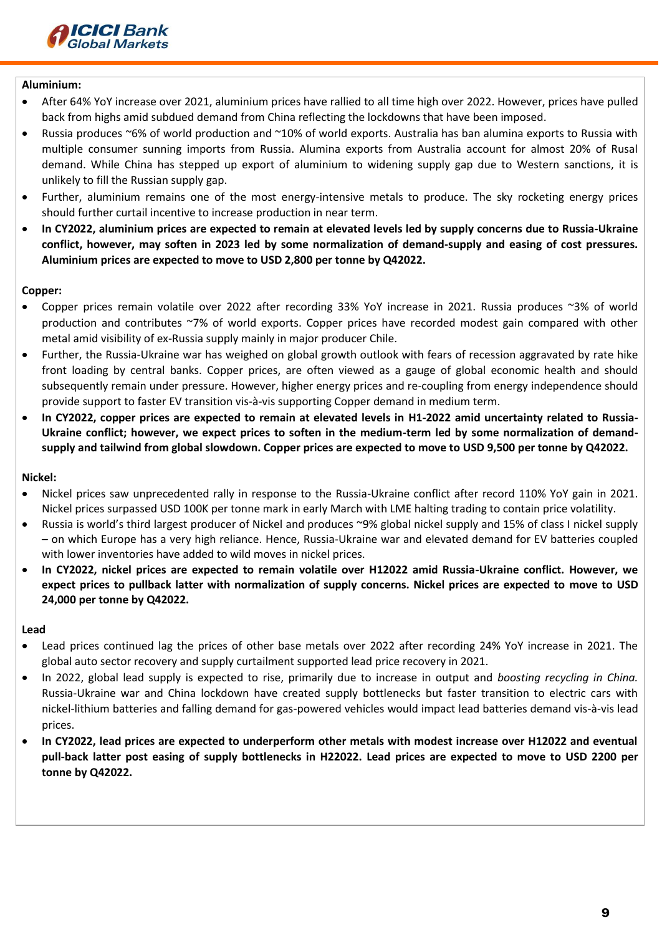

### **Aluminium:**

- After 64% YoY increase over 2021, aluminium prices have rallied to all time high over 2022. However, prices have pulled back from highs amid subdued demand from China reflecting the lockdowns that have been imposed.
- Russia produces ~6% of world production and ~10% of world exports. Australia has ban alumina exports to Russia with multiple consumer sunning imports from Russia. Alumina exports from Australia account for almost 20% of Rusal demand. While China has stepped up export of aluminium to widening supply gap due to Western sanctions, it is unlikely to fill the Russian supply gap.
- Further, aluminium remains one of the most energy-intensive metals to produce. The sky rocketing energy prices should further curtail incentive to increase production in near term.
- **In CY2022, aluminium prices are expected to remain at elevated levels led by supply concerns due to Russia-Ukraine conflict, however, may soften in 2023 led by some normalization of demand-supply and easing of cost pressures. Aluminium prices are expected to move to USD 2,800 per tonne by Q42022.**

### **Copper:**

- Copper prices remain volatile over 2022 after recording 33% YoY increase in 2021. Russia produces ~3% of world production and contributes ~7% of world exports. Copper prices have recorded modest gain compared with other metal amid visibility of ex-Russia supply mainly in major producer Chile.
- Further, the Russia-Ukraine war has weighed on global growth outlook with fears of recession aggravated by rate hike front loading by central banks. Copper prices, are often viewed as a gauge of global economic health and should subsequently remain under pressure. However, higher energy prices and re-coupling from energy independence should provide support to faster EV transition vis-à-vis supporting Copper demand in medium term.
- **In CY2022, copper prices are expected to remain at elevated levels in H1-2022 amid uncertainty related to Russia-Ukraine conflict; however, we expect prices to soften in the medium-term led by some normalization of demandsupply and tailwind from global slowdown. Copper prices are expected to move to USD 9,500 per tonne by Q42022.**

# **Nickel:**

- Nickel prices saw unprecedented rally in response to the Russia-Ukraine conflict after record 110% YoY gain in 2021. Nickel prices surpassed USD 100K per tonne mark in early March with LME halting trading to contain price volatility.
- Russia is world's third largest producer of Nickel and produces ~9% global nickel supply and 15% of class I nickel supply – on which Europe has a very high reliance. Hence, Russia-Ukraine war and elevated demand for EV batteries coupled with lower inventories have added to wild moves in nickel prices.
- **In CY2022, nickel prices are expected to remain volatile over H12022 amid Russia-Ukraine conflict. However, we expect prices to pullback latter with normalization of supply concerns. Nickel prices are expected to move to USD 24,000 per tonne by Q42022.**

# **Lead**

- Lead prices continued lag the prices of other base metals over 2022 after recording 24% YoY increase in 2021. The global auto sector recovery and supply curtailment supported lead price recovery in 2021.
- In 2022, global lead supply is expected to rise, primarily due to increase in output and *boosting recycling in China.* Russia-Ukraine war and China lockdown have created supply bottlenecks but faster transition to electric cars with nickel-lithium batteries and falling demand for gas-powered vehicles would impact lead batteries demand vis-à-vis lead prices.
- **In CY2022, lead prices are expected to underperform other metals with modest increase over H12022 and eventual pull-back latter post easing of supply bottlenecks in H22022. Lead prices are expected to move to USD 2200 per tonne by Q42022.**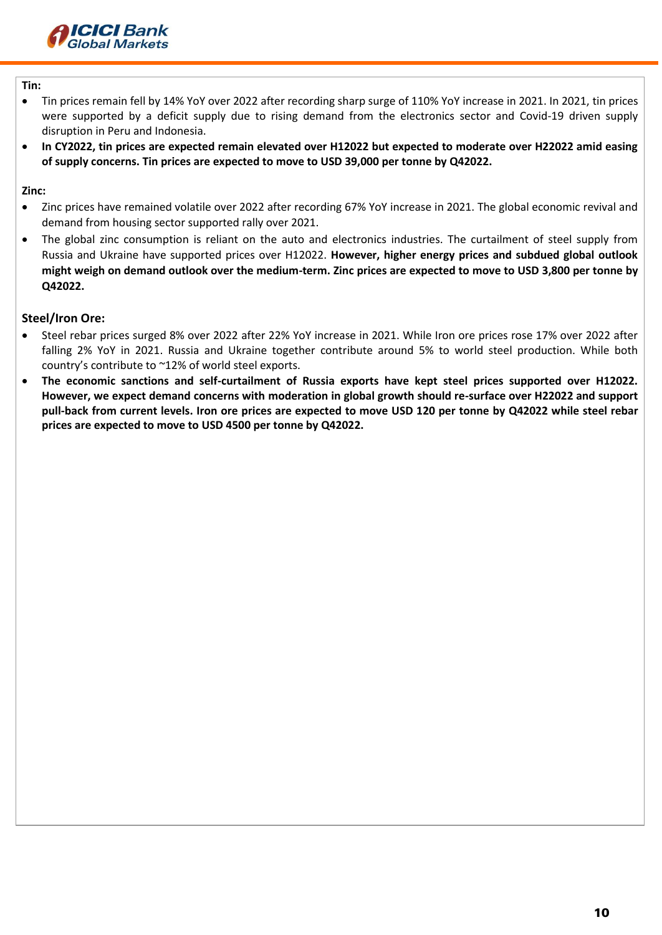

# **Tin:**

- Tin prices remain fell by 14% YoY over 2022 after recording sharp surge of 110% YoY increase in 2021. In 2021, tin prices were supported by a deficit supply due to rising demand from the electronics sector and Covid-19 driven supply disruption in Peru and Indonesia.
- **In CY2022, tin prices are expected remain elevated over H12022 but expected to moderate over H22022 amid easing of supply concerns. Tin prices are expected to move to USD 39,000 per tonne by Q42022.**

**Zinc:**

- Zinc prices have remained volatile over 2022 after recording 67% YoY increase in 2021. The global economic revival and demand from housing sector supported rally over 2021.
- The global zinc consumption is reliant on the auto and electronics industries. The curtailment of steel supply from Russia and Ukraine have supported prices over H12022. **However, higher energy prices and subdued global outlook might weigh on demand outlook over the medium-term. Zinc prices are expected to move to USD 3,800 per tonne by Q42022.**

# **Steel/Iron Ore:**

- Steel rebar prices surged 8% over 2022 after 22% YoY increase in 2021. While Iron ore prices rose 17% over 2022 after falling 2% YoY in 2021. Russia and Ukraine together contribute around 5% to world steel production. While both country's contribute to ~12% of world steel exports.
- **The economic sanctions and self-curtailment of Russia exports have kept steel prices supported over H12022. However, we expect demand concerns with moderation in global growth should re-surface over H22022 and support pull-back from current levels. Iron ore prices are expected to move USD 120 per tonne by Q42022 while steel rebar prices are expected to move to USD 4500 per tonne by Q42022.**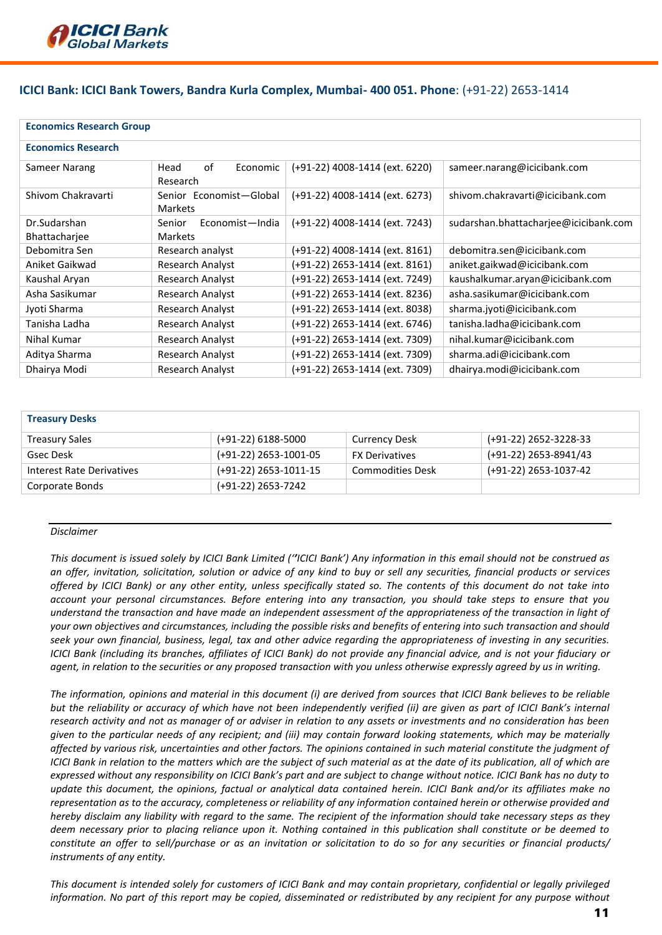

# **ICICI Bank: ICICI Bank Towers, Bandra Kurla Complex, Mumbai- 400 051. Phone**: (+91-22) 2653-1414

| <b>Economics Research Group</b> |                                           |                                |                                       |
|---------------------------------|-------------------------------------------|--------------------------------|---------------------------------------|
| <b>Economics Research</b>       |                                           |                                |                                       |
| Sameer Narang                   | of<br>Economic<br>Head<br>Research        | (+91-22) 4008-1414 (ext. 6220) | sameer.narang@icicibank.com           |
| Shivom Chakravarti              | Senior Economist-Global<br><b>Markets</b> | (+91-22) 4008-1414 (ext. 6273) | shivom.chakravarti@icicibank.com      |
| Dr.Sudarshan                    | Senior<br>Economist-India                 | (+91-22) 4008-1414 (ext. 7243) | sudarshan.bhattacharjee@icicibank.com |
| Bhattacharjee                   | <b>Markets</b>                            |                                |                                       |
| Debomitra Sen                   | Research analyst                          | (+91-22) 4008-1414 (ext. 8161) | debomitra.sen@icicibank.com           |
| Aniket Gaikwad                  | Research Analyst                          | (+91-22) 2653-1414 (ext. 8161) | aniket.gaikwad@icicibank.com          |
| Kaushal Aryan                   | Research Analyst                          | (+91-22) 2653-1414 (ext. 7249) | kaushalkumar.aryan@icicibank.com      |
| Asha Sasikumar                  | <b>Research Analyst</b>                   | (+91-22) 2653-1414 (ext. 8236) | asha.sasikumar@icicibank.com          |
| Jyoti Sharma                    | Research Analyst                          | (+91-22) 2653-1414 (ext. 8038) | sharma.jyoti@icicibank.com            |
| Tanisha Ladha                   | Research Analyst                          | (+91-22) 2653-1414 (ext. 6746) | tanisha.ladha@icicibank.com           |
| Nihal Kumar                     | Research Analyst                          | (+91-22) 2653-1414 (ext. 7309) | nihal.kumar@icicibank.com             |
| Aditya Sharma                   | <b>Research Analyst</b>                   | (+91-22) 2653-1414 (ext. 7309) | sharma.adi@icicibank.com              |
| Dhairya Modi                    | Research Analyst                          | (+91-22) 2653-1414 (ext. 7309) | dhairya.modi@icicibank.com            |

#### **Treasury Desks**

| <b>Treasury Sales</b>     | (+91-22) 6188-5000    | <b>Currency Desk</b>    | (+91-22) 2652-3228-33 |
|---------------------------|-----------------------|-------------------------|-----------------------|
| Gsec Desk                 | (+91-22) 2653-1001-05 | <b>FX Derivatives</b>   | (+91-22) 2653-8941/43 |
| Interest Rate Derivatives | (+91-22) 2653-1011-15 | <b>Commodities Desk</b> | (+91-22) 2653-1037-42 |
| Corporate Bonds           | (+91-22) 2653-7242    |                         |                       |

#### *Disclaimer*

*This document is issued solely by ICICI Bank Limited (''ICICI Bank') Any information in this email should not be construed as an offer, invitation, solicitation, solution or advice of any kind to buy or sell any securities, financial products or services offered by ICICI Bank) or any other entity, unless specifically stated so. The contents of this document do not take into account your personal circumstances. Before entering into any transaction, you should take steps to ensure that you understand the transaction and have made an independent assessment of the appropriateness of the transaction in light of your own objectives and circumstances, including the possible risks and benefits of entering into such transaction and should seek your own financial, business, legal, tax and other advice regarding the appropriateness of investing in any securities. ICICI Bank (including its branches, affiliates of ICICI Bank) do not provide any financial advice, and is not your fiduciary or agent, in relation to the securities or any proposed transaction with you unless otherwise expressly agreed by us in writing.* 

*The information, opinions and material in this document (i) are derived from sources that ICICI Bank believes to be reliable but the reliability or accuracy of which have not been independently verified (ii) are given as part of ICICI Bank's internal research activity and not as manager of or adviser in relation to any assets or investments and no consideration has been given to the particular needs of any recipient; and (iii) may contain forward looking statements, which may be materially affected by various risk, uncertainties and other factors. The opinions contained in such material constitute the judgment of ICICI Bank in relation to the matters which are the subject of such material as at the date of its publication, all of which are expressed without any responsibility on ICICI Bank's part and are subject to change without notice. ICICI Bank has no duty to update this document, the opinions, factual or analytical data contained herein. ICICI Bank and/or its affiliates make no representation as to the accuracy, completeness or reliability of any information contained herein or otherwise provided and hereby disclaim any liability with regard to the same. The recipient of the information should take necessary steps as they deem necessary prior to placing reliance upon it. Nothing contained in this publication shall constitute or be deemed to constitute an offer to sell/purchase or as an invitation or solicitation to do so for any securities or financial products/ instruments of any entity.* 

*This document is intended solely for customers of ICICI Bank and may contain proprietary, confidential or legally privileged information. No part of this report may be copied, disseminated or redistributed by any recipient for any purpose without*